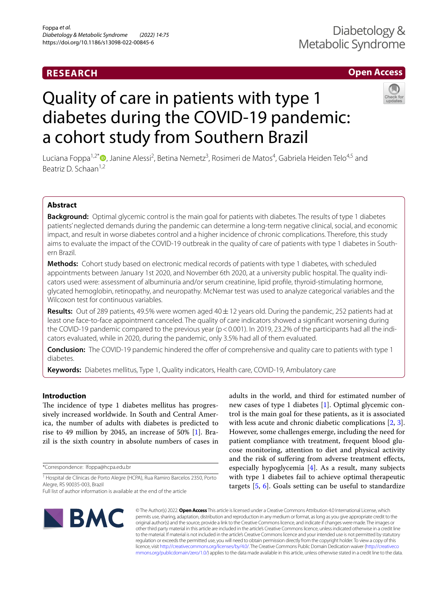# **RESEARCH**

# **Open Access**

# Quality of care in patients with type 1 diabetes during the COVID-19 pandemic: a cohort study from Southern Brazil



Luciana Foppa<sup>1[,](http://orcid.org/0000-0002-2371-2217)2\*</sup>®, Janine Alessi<sup>2</sup>, Betina Nemetz<sup>3</sup>, Rosimeri de Matos<sup>4</sup>, Gabriela Heiden Telo<sup>4,5</sup> and Beatriz D. Schaan1,2

# **Abstract**

**Background:** Optimal glycemic control is the main goal for patients with diabetes. The results of type 1 diabetes patients' neglected demands during the pandemic can determine a long-term negative clinical, social, and economic impact, and result in worse diabetes control and a higher incidence of chronic complications. Therefore, this study aims to evaluate the impact of the COVID-19 outbreak in the quality of care of patients with type 1 diabetes in Southern Brazil.

**Methods:** Cohort study based on electronic medical records of patients with type 1 diabetes, with scheduled appointments between January 1st 2020, and November 6th 2020, at a university public hospital. The quality indicators used were: assessment of albuminuria and/or serum creatinine, lipid profle, thyroid-stimulating hormone, glycated hemoglobin, retinopathy, and neuropathy. McNemar test was used to analyze categorical variables and the Wilcoxon test for continuous variables.

**Results:** Out of 289 patients, 49.5% were women aged 40±12 years old. During the pandemic, 252 patients had at least one face-to-face appointment canceled. The quality of care indicators showed a signifcant worsening during the COVID-19 pandemic compared to the previous year ( $p < 0.001$ ). In 2019, 23.2% of the participants had all the indicators evaluated, while in 2020, during the pandemic, only 3.5% had all of them evaluated.

**Conclusion:** The COVID-19 pandemic hindered the offer of comprehensive and quality care to patients with type 1 diabetes.

**Keywords:** Diabetes mellitus, Type 1, Quality indicators, Health care, COVID-19, Ambulatory care

# **Introduction**

The incidence of type 1 diabetes mellitus has progressively increased worldwide. In South and Central America, the number of adults with diabetes is predicted to rise to 49 million by 2045, an increase of 50% [[1\]](#page-6-0). Brazil is the sixth country in absolute numbers of cases in

\*Correspondence: lfoppa@hcpa.edu.br

<sup>1</sup> Hospital de Clínicas de Porto Alegre (HCPA), Rua Ramiro Barcelos 2350, Porto Alegre, RS 90035-003, Brazil





© The Author(s) 2022. **Open Access** This article is licensed under a Creative Commons Attribution 4.0 International License, which permits use, sharing, adaptation, distribution and reproduction in any medium or format, as long as you give appropriate credit to the original author(s) and the source, provide a link to the Creative Commons licence, and indicate if changes were made. The images or other third party material in this article are included in the article's Creative Commons licence, unless indicated otherwise in a credit line to the material. If material is not included in the article's Creative Commons licence and your intended use is not permitted by statutory regulation or exceeds the permitted use, you will need to obtain permission directly from the copyright holder. To view a copy of this licence, visit [http://creativecommons.org/licenses/by/4.0/.](http://creativecommons.org/licenses/by/4.0/) The Creative Commons Public Domain Dedication waiver ([http://creativeco](http://creativecommons.org/publicdomain/zero/1.0/) [mmons.org/publicdomain/zero/1.0/](http://creativecommons.org/publicdomain/zero/1.0/)) applies to the data made available in this article, unless otherwise stated in a credit line to the data.

Full list of author information is available at the end of the article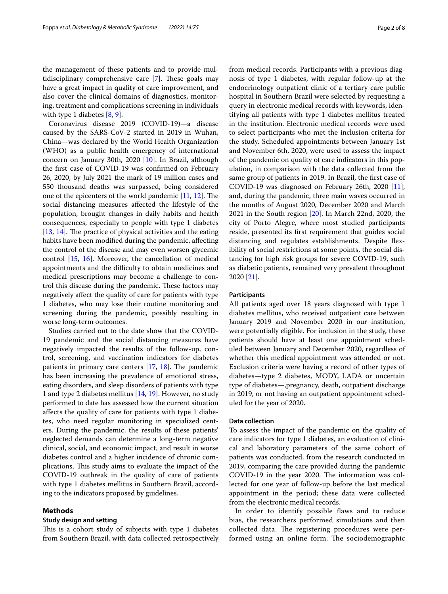the management of these patients and to provide multidisciplinary comprehensive care  $[7]$  $[7]$  $[7]$ . These goals may have a great impact in quality of care improvement, and also cover the clinical domains of diagnostics, monitoring, treatment and complications screening in individuals with type 1 diabetes [[8,](#page-6-7) [9](#page-6-8)].

Coronavirus disease 2019 (COVID-19)—a disease caused by the SARS-CoV-2 started in 2019 in Wuhan, China—was declared by the World Health Organization (WHO) as a public health emergency of international concern on January 30th, 2020 [\[10](#page-6-9)]. In Brazil, although the frst case of COVID-19 was confrmed on February 26, 2020, by July 2021 the mark of 19 million cases and 550 thousand deaths was surpassed, being considered one of the epicenters of the world pandemic  $[11, 12]$  $[11, 12]$  $[11, 12]$  $[11, 12]$ . The social distancing measures afected the lifestyle of the population, brought changes in daily habits and health consequences, especially to people with type 1 diabetes [[13,](#page-6-12) [14\]](#page-6-13). The practice of physical activities and the eating habits have been modifed during the pandemic, afecting the control of the disease and may even worsen glycemic control [[15](#page-6-14), [16\]](#page-7-0). Moreover, the cancellation of medical appointments and the difficulty to obtain medicines and medical prescriptions may become a challenge to control this disease during the pandemic. These factors may negatively afect the quality of care for patients with type 1 diabetes, who may lose their routine monitoring and screening during the pandemic, possibly resulting in worse long-term outcomes.

Studies carried out to the date show that the COVID-19 pandemic and the social distancing measures have negatively impacted the results of the follow-up, control, screening, and vaccination indicators for diabetes patients in primary care centers  $[17, 18]$  $[17, 18]$  $[17, 18]$ . The pandemic has been increasing the prevalence of emotional stress, eating disorders, and sleep disorders of patients with type 1 and type 2 diabetes mellitus [[14,](#page-6-13) [19](#page-7-3)]. However, no study performed to date has assessed how the current situation afects the quality of care for patients with type 1 diabetes, who need regular monitoring in specialized centers. During the pandemic, the results of these patients' neglected demands can determine a long-term negative clinical, social, and economic impact, and result in worse diabetes control and a higher incidence of chronic complications. This study aims to evaluate the impact of the COVID-19 outbreak in the quality of care of patients with type 1 diabetes mellitus in Southern Brazil, according to the indicators proposed by guidelines.

# **Methods**

# **Study design and setting**

This is a cohort study of subjects with type 1 diabetes from Southern Brazil, with data collected retrospectively from medical records. Participants with a previous diagnosis of type 1 diabetes, with regular follow-up at the endocrinology outpatient clinic of a tertiary care public hospital in Southern Brazil were selected by requesting a query in electronic medical records with keywords, identifying all patients with type 1 diabetes mellitus treated in the institution. Electronic medical records were used to select participants who met the inclusion criteria for the study. Scheduled appointments between January 1st and November 6th, 2020, were used to assess the impact of the pandemic on quality of care indicators in this population, in comparison with the data collected from the same group of patients in 2019. In Brazil, the frst case of COVID-19 was diagnosed on February 26th, 2020 [\[11](#page-6-10)], and, during the pandemic, three main waves occurred in the months of August 2020, December 2020 and March 2021 in the South region [\[20](#page-7-4)]. In March 22nd, 2020, the city of Porto Alegre, where most studied participants reside, presented its frst requirement that guides social distancing and regulates establishments. Despite fexibility of social restrictions at some points, the social distancing for high risk groups for severe COVID-19, such as diabetic patients, remained very prevalent throughout 2020 [[21\]](#page-7-5).

# **Participants**

All patients aged over 18 years diagnosed with type 1 diabetes mellitus, who received outpatient care between January 2019 and November 2020 in our institution, were potentially eligible. For inclusion in the study, these patients should have at least one appointment scheduled between January and December 2020, regardless of whether this medical appointment was attended or not. Exclusion criteria were having a record of other types of diabetes—type 2 diabetes, MODY, LADA or uncertain type of diabetes—,pregnancy, death, outpatient discharge in 2019, or not having an outpatient appointment scheduled for the year of 2020.

# **Data collection**

To assess the impact of the pandemic on the quality of care indicators for type 1 diabetes, an evaluation of clinical and laboratory parameters of the same cohort of patients was conducted, from the research conducted in 2019, comparing the care provided during the pandemic COVID-19 in the year 2020. The information was collected for one year of follow-up before the last medical appointment in the period; these data were collected from the electronic medical records.

In order to identify possible faws and to reduce bias, the researchers performed simulations and then collected data. The registering procedures were performed using an online form. The sociodemographic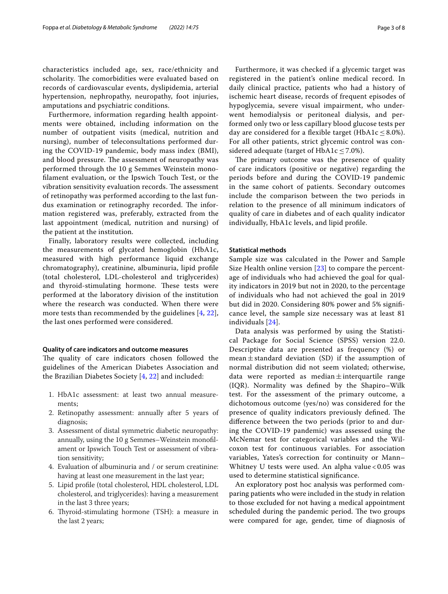characteristics included age, sex, race/ethnicity and scholarity. The comorbidities were evaluated based on records of cardiovascular events, dyslipidemia, arterial hypertension, nephropathy, neuropathy, foot injuries, amputations and psychiatric conditions.

Furthermore, information regarding health appointments were obtained, including information on the number of outpatient visits (medical, nutrition and nursing), number of teleconsultations performed during the COVID-19 pandemic, body mass index (BMI), and blood pressure. The assessment of neuropathy was performed through the 10 g Semmes Weinstein monoflament evaluation, or the Ipswich Touch Test, or the vibration sensitivity evaluation records. The assessment of retinopathy was performed according to the last fundus examination or retinography recorded. The information registered was, preferably, extracted from the last appointment (medical, nutrition and nursing) of the patient at the institution.

Finally, laboratory results were collected, including the measurements of glycated hemoglobin (HbA1c, measured with high performance liquid exchange chromatography), creatinine, albuminuria, lipid profle (total cholesterol, LDL-cholesterol and triglycerides) and thyroid-stimulating hormone. These tests were performed at the laboratory division of the institution where the research was conducted. When there were more tests than recommended by the guidelines [[4](#page-6-3), [22\]](#page-7-6), the last ones performed were considered.

# **Quality of care indicators and outcome measures**

The quality of care indicators chosen followed the guidelines of the American Diabetes Association and the Brazilian Diabetes Society [\[4](#page-6-3), [22](#page-7-6)] and included:

- 1. HbA1c assessment: at least two annual measurements;
- 2. Retinopathy assessment: annually after 5 years of diagnosis;
- 3. Assessment of distal symmetric diabetic neuropathy: annually, using the 10 g Semmes–Weinstein monoflament or Ipswich Touch Test or assessment of vibration sensitivity;
- 4. Evaluation of albuminuria and / or serum creatinine: having at least one measurement in the last year;
- 5. Lipid profle (total cholesterol, HDL cholesterol, LDL cholesterol, and triglycerides): having a measurement in the last 3 three years;
- 6. Thyroid-stimulating hormone (TSH): a measure in the last 2 years;

Furthermore, it was checked if a glycemic target was registered in the patient's online medical record. In daily clinical practice, patients who had a history of ischemic heart disease, records of frequent episodes of hypoglycemia, severe visual impairment, who underwent hemodialysis or peritoneal dialysis, and performed only two or less capillary blood glucose tests per day are considered for a flexible target (HbA1c  $\leq$  8.0%). For all other patients, strict glycemic control was considered adequate (target of HbA1c  $\leq$  7.0%).

The primary outcome was the presence of quality of care indicators (positive or negative) regarding the periods before and during the COVID-19 pandemic in the same cohort of patients. Secondary outcomes include the comparison between the two periods in relation to the presence of all minimum indicators of quality of care in diabetes and of each quality indicator individually, HbA1c levels, and lipid profle.

# **Statistical methods**

Sample size was calculated in the Power and Sample Size Health online version [[23](#page-7-7)] to compare the percentage of individuals who had achieved the goal for quality indicators in 2019 but not in 2020, to the percentage of individuals who had not achieved the goal in 2019 but did in 2020. Considering 80% power and 5% signifcance level, the sample size necessary was at least 81 individuals [[24\]](#page-7-8).

Data analysis was performed by using the Statistical Package for Social Science (SPSS) version 22.0. Descriptive data are presented as frequency (%) or mean $\pm$ standard deviation (SD) if the assumption of normal distribution did not seem violated; otherwise, data were reported as median $\pm$ interquartile range (IQR). Normality was defned by the Shapiro–Wilk test. For the assessment of the primary outcome, a dichotomous outcome (yes/no) was considered for the presence of quality indicators previously defined. The diference between the two periods (prior to and during the COVID-19 pandemic) was assessed using the McNemar test for categorical variables and the Wilcoxon test for continuous variables. For association variables, Yates's correction for continuity or Mann– Whitney U tests were used. An alpha value < 0.05 was used to determine statistical signifcance.

An exploratory post hoc analysis was performed comparing patients who were included in the study in relation to those excluded for not having a medical appointment scheduled during the pandemic period. The two groups were compared for age, gender, time of diagnosis of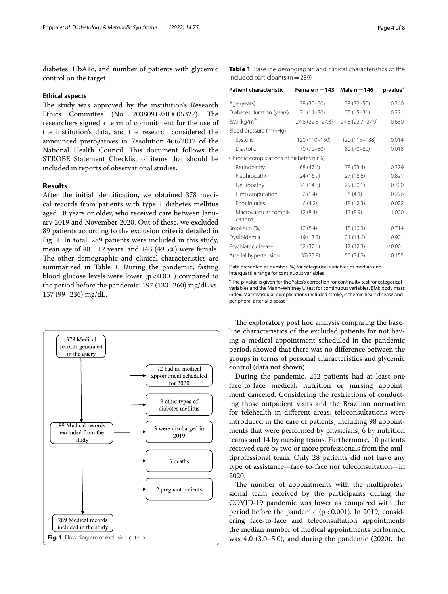diabetes, HbA1c, and number of patients with glycemic control on the target.

#### **Ethical aspects**

The study was approved by the institution's Research Ethics Committee (No. 20380919800005327). The researchers signed a term of commitment for the use of the institution's data, and the research considered the announced prerogatives in Resolution 466/2012 of the National Health Council. This document follows the STROBE Statement Checklist of items that should be included in reports of observational studies.

# **Results**

After the initial identifcation, we obtained 378 medical records from patients with type 1 diabetes mellitus aged 18 years or older, who received care between January 2019 and November 2020. Out of these, we excluded 89 patients according to the exclusion criteria detailed in Fig. [1.](#page-3-0) In total, 289 patients were included in this study, mean age of  $40 \pm 12$  years, and 143 (49.5%) were female. The other demographic and clinical characteristics are summarized in Table [1.](#page-3-1) During the pandemic, fasting blood glucose levels were lower  $(p<0.001)$  compared to the period before the pandemic: 197 (133–260) mg/dL vs. 157 (99–236) mg/dL.



<span id="page-3-1"></span>**Table 1** Baseline demographic and clinical characteristics of the included participants ( $n=289$ )

| <b>Patient characteristic</b>           | Female $n = 143$ Male $n = 146$ |                  | p-value <sup>a</sup> |
|-----------------------------------------|---------------------------------|------------------|----------------------|
| Age (years)                             | 38 (30-50)                      | $39(32 - 50)$    | 0.340                |
| Diabetes duration (years)               | $21(14-30)$                     | $25(15-31)$      | 0.271                |
| BMI ( $kg/m2$ )                         | 24.8 (22.5 - 27.3)              | 24.8 (22.7-27.9) | 0.680                |
| Blood pressure (mmHg)                   |                                 |                  |                      |
| Systolic                                | 120 (110-130)                   | 120 (115-138)    | 0.014                |
| <b>Diastolic</b>                        | 70 (70-80)                      | 80 (70-80)       | 0.018                |
| Chronic complications of diabetes n (%) |                                 |                  |                      |
| Retinopathy                             | 68 (47.6)                       | 78 (53.4)        | 0.379                |
| Nephropathy                             | 24 (16.9)                       | 27 (18.6)        | 0.821                |
| Neuropathy                              | 21 (14.8)                       | 29(20.1)         | 0.300                |
| Limb amputation                         | 2(1.4)                          | 6(4.1)           | 0.296                |
| Foot injuries                           | 6(4.2)                          | 18 (12.3)        | 0.022                |
| Macrovascular compli-<br>cations        | 12(8.4)                         | 13(8.9)          | 1.000                |
| Smoker n (%)                            | 12(8.4)                         | 15(10.3)         | 0.714                |
| Dyslipidemia                            | 19 (13.5)                       | 21 (14.6)        | 0.921                |
| Psychiatric disease                     | 52 (37.1)                       | 17(12.3)         | < 0.001              |
| Arterial hypertension                   | 37(25.9)                        | 50 (34.2)        | 0.155                |

Data presented as number (%) for categorical variables or median and interquartile range for continuous variables

<sup>a</sup> The p-value is given for the Yates's correction for continuity test for categorical variables and the Mann–Whitney U test for continuous variables. BMI: body mass index. Macrovascular complications included stroke, ischemic heart disease and peripheral arterial disease

The exploratory post hoc analysis comparing the baseline characteristics of the excluded patients for not having a medical appointment scheduled in the pandemic period, showed that there was no diference between the groups in terms of personal characteristics and glycemic control (data not shown).

During the pandemic, 252 patients had at least one face-to-face medical, nutrition or nursing appointment canceled. Considering the restrictions of conducting those outpatient visits and the Brazilian normative for telehealth in diferent areas, teleconsultations were introduced in the care of patients, including 98 appointments that were performed by physicians, 6 by nutrition teams and 14 by nursing teams. Furthermore, 10 patients received care by two or more professionals from the multiprofessional team. Only 28 patients did not have any type of assistance—face-to-face nor teleconsultation—in 2020.

<span id="page-3-0"></span>The number of appointments with the multiprofessional team received by the participants during the COVID-19 pandemic was lower as compared with the period before the pandemic  $(p < 0.001)$ . In 2019, considering face-to-face and teleconsultation appointments the median number of medical appointments performed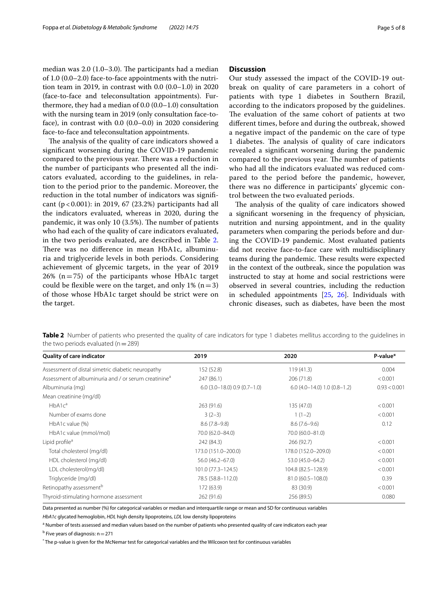median was  $2.0$  (1.0–3.0). The participants had a median of 1.0 (0.0–2.0) face-to-face appointments with the nutrition team in 2019, in contrast with 0.0 (0.0–1.0) in 2020 (face-to-face and teleconsultation appointments). Furthermore, they had a median of 0.0 (0.0–1.0) consultation with the nursing team in 2019 (only consultation face-toface), in contrast with 0.0 (0.0–0.0) in 2020 considering face-to-face and teleconsultation appointments.

The analysis of the quality of care indicators showed a signifcant worsening during the COVID-19 pandemic compared to the previous year. There was a reduction in the number of participants who presented all the indicators evaluated, according to the guidelines, in relation to the period prior to the pandemic. Moreover, the reduction in the total number of indicators was signifcant (p < 0.001): in 2019, 67 (23.2%) participants had all the indicators evaluated, whereas in 2020, during the pandemic, it was only 10 (3.5%). The number of patients who had each of the quality of care indicators evaluated, in the two periods evaluated, are described in Table [2](#page-4-0). There was no difference in mean HbA1c, albuminuria and triglyceride levels in both periods. Considering achievement of glycemic targets, in the year of 2019  $26\%$  (n=75) of the participants whose HbA1c target could be flexible were on the target, and only  $1\%$  (n = 3) of those whose HbA1c target should be strict were on the target.

# **Discussion**

Our study assessed the impact of the COVID-19 outbreak on quality of care parameters in a cohort of patients with type 1 diabetes in Southern Brazil, according to the indicators proposed by the guidelines. The evaluation of the same cohort of patients at two diferent times, before and during the outbreak, showed a negative impact of the pandemic on the care of type 1 diabetes. The analysis of quality of care indicators revealed a signifcant worsening during the pandemic compared to the previous year. The number of patients who had all the indicators evaluated was reduced compared to the period before the pandemic, however, there was no diference in participants' glycemic control between the two evaluated periods.

The analysis of the quality of care indicators showed a signifcant worsening in the frequency of physician, nutrition and nursing appointment, and in the quality parameters when comparing the periods before and during the COVID-19 pandemic. Most evaluated patients did not receive face-to-face care with multidisciplinary teams during the pandemic. These results were expected in the context of the outbreak, since the population was instructed to stay at home and social restrictions were observed in several countries, including the reduction in scheduled appointments [[25,](#page-7-9) [26](#page-7-10)]. Individuals with chronic diseases, such as diabetes, have been the most

<span id="page-4-0"></span>

| Table 2 Number of patients who presented the quality of care indicators for type 1 diabetes mellitus according to the guidelines in |  |  |  |
|-------------------------------------------------------------------------------------------------------------------------------------|--|--|--|
| the two periods evaluated ( $n = 289$ )                                                                                             |  |  |  |

| <b>Quality of care indicator</b>                                 | 2019                           | 2020                           | P-value*     |
|------------------------------------------------------------------|--------------------------------|--------------------------------|--------------|
| Assessment of distal simetric diabetic neuropathy                | 152 (52.8)                     | 119(41.3)                      | 0.004        |
| Assessment of albuminuria and / or serum creatinine <sup>a</sup> | 247 (86.1)                     | 206 (71.8)                     | < 0.001      |
| Albuminuria (mg)                                                 | $6.0$ (3.0-18.0) 0.9 (0.7-1.0) | $6.0$ (4.0-14.0) 1.0 (0.8-1.2) | 0.93 < 0.001 |
| Mean creatinine (mg/dl)                                          |                                |                                |              |
| HbA1c <sup>a</sup>                                               | 263(91.6)                      | 135 (47.0)                     | < 0.001      |
| Number of exams done                                             | $3(2-3)$                       | $1(1-2)$                       | < 0.001      |
| HbA1c value (%)                                                  | $8.6(7.8-9.8)$                 | $8.6(7.6-9.6)$                 | 0.12         |
| HbA1c value (mmol/mol)                                           | 70.0 (62.0-84.0)               | 70.0 (60.0-81.0)               |              |
| Lipid profile <sup>a</sup>                                       | 242 (84.3)                     | 266 (92.7)                     | < 0.001      |
| Total cholesterol (mg/dl)                                        | 173.0 (151.0-200.0)            | 178.0 (152.0-209.0)            | < 0.001      |
| HDL cholesterol (mg/dl)                                          | 56.0 (46.2-67.0)               | 53.0 (45.0-64.2)               | < 0.001      |
| LDL cholesterol(mg/dl)                                           | 101.0 (77.3-124.5)             | 104.8 (82.5-128.9)             | < 0.001      |
| Triglyceride (mg/dl)                                             | 78.5 (58.8-112.0)              | 81.0 (60.5-108.0)              | 0.39         |
| Retinopathy assessment <sup>b</sup>                              | 172 (63.9)                     | 83 (30.9)                      | < 0.001      |
| Thyroid-stimulating hormone assessment                           | 262 (91.6)                     | 256 (89.5)                     | 0.080        |

Data presented as number (%) for categorical variables or median and interquartile range or mean and SD for continuous variables *HbA1c* glycated hemoglobin, *HDL* high density lipoproteins, *LDL* low density lipoproteins

<sup>a</sup> Number of tests assessed and median values based on the number of patients who presented quality of care indicators each year

<sup>b</sup> Five years of diagnosis: n = 271

\* The p-value is given for the McNemar test for categorical variables and the Wilcoxon test for continuous variables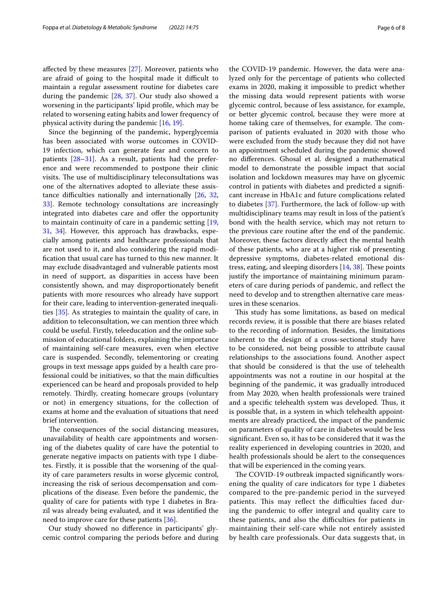afected by these measures [\[27\]](#page-7-11). Moreover, patients who are afraid of going to the hospital made it difficult to maintain a regular assessment routine for diabetes care during the pandemic [\[28](#page-7-12), [37\]](#page-7-13). Our study also showed a worsening in the participants' lipid profle, which may be related to worsening eating habits and lower frequency of physical activity during the pandemic [[16,](#page-7-0) [19](#page-7-3)].

Since the beginning of the pandemic, hyperglycemia has been associated with worse outcomes in COVID-19 infection, which can generate fear and concern to patients [\[28–](#page-7-12)[31\]](#page-7-14). As a result, patients had the preference and were recommended to postpone their clinic visits. The use of multidisciplinary teleconsultations was one of the alternatives adopted to alleviate these assistance difficulties nationally and internationally  $[26, 32, 32]$  $[26, 32, 32]$  $[26, 32, 32]$  $[26, 32, 32]$  $[26, 32, 32]$ [33\]](#page-7-16). Remote technology consultations are increasingly integrated into diabetes care and offer the opportunity to maintain continuity of care in a pandemic setting [\[19](#page-7-3), [31,](#page-7-14) [34](#page-7-17)]. However, this approach has drawbacks, especially among patients and healthcare professionals that are not used to it, and also considering the rapid modifcation that usual care has turned to this new manner. It may exclude disadvantaged and vulnerable patients most in need of support, as disparities in access have been consistently shown, and may disproportionately beneft patients with more resources who already have support for their care, leading to intervention-generated inequalities [\[35\]](#page-7-18). As strategies to maintain the quality of care, in addition to teleconsultation, we can mention three which could be useful. Firstly, teleeducation and the online submission of educational folders, explaining the importance of maintaining self-care measures, even when elective care is suspended. Secondly, telementoring or creating groups in text message apps guided by a health care professional could be initiatives, so that the main difficulties experienced can be heard and proposals provided to help remotely. Thirdly, creating homecare groups (voluntary or not) in emergency situations, for the collection of exams at home and the evaluation of situations that need brief intervention.

The consequences of the social distancing measures, unavailability of health care appointments and worsening of the diabetes quality of care have the potential to generate negative impacts on patients with type 1 diabetes. Firstly, it is possible that the worsening of the quality of care parameters results in worse glycemic control, increasing the risk of serious decompensation and complications of the disease. Even before the pandemic, the quality of care for patients with type 1 diabetes in Brazil was already being evaluated, and it was identifed the need to improve care for these patients [\[36\]](#page-7-19).

Our study showed no diference in participants' glycemic control comparing the periods before and during the COVID-19 pandemic. However, the data were analyzed only for the percentage of patients who collected exams in 2020, making it impossible to predict whether the missing data would represent patients with worse glycemic control, because of less assistance, for example, or better glycemic control, because they were more at home taking care of themselves, for example. The comparison of patients evaluated in 2020 with those who were excluded from the study because they did not have an appointment scheduled during the pandemic showed no diferences. Ghosal et al. designed a mathematical model to demonstrate the possible impact that social isolation and lockdown measures may have on glycemic control in patients with diabetes and predicted a signifcant increase in HbA1c and future complications related to diabetes [[37\]](#page-7-13). Furthermore, the lack of follow-up with multidisciplinary teams may result in loss of the patient's bond with the health service, which may not return to the previous care routine after the end of the pandemic. Moreover, these factors directly afect the mental health of these patients, who are at a higher risk of presenting depressive symptoms, diabetes-related emotional distress, eating, and sleeping disorders  $[14, 38]$  $[14, 38]$  $[14, 38]$  $[14, 38]$ . These points justify the importance of maintaining minimum parameters of care during periods of pandemic, and refect the need to develop and to strengthen alternative care measures in these scenarios.

This study has some limitations, as based on medical records review, it is possible that there are biases related to the recording of information. Besides, the limitations inherent to the design of a cross-sectional study have to be considered, not being possible to attribute causal relationships to the associations found. Another aspect that should be considered is that the use of telehealth appointments was not a routine in our hospital at the beginning of the pandemic, it was gradually introduced from May 2020, when health professionals were trained and a specific telehealth system was developed. Thus, it is possible that, in a system in which telehealth appointments are already practiced, the impact of the pandemic on parameters of quality of care in diabetes would be less signifcant. Even so, it has to be considered that it was the reality experienced in developing countries in 2020, and health professionals should be alert to the consequences that will be experienced in the coming years.

The COVID-19 outbreak impacted significantly worsening the quality of care indicators for type 1 diabetes compared to the pre-pandemic period in the surveyed patients. This may reflect the difficulties faced during the pandemic to offer integral and quality care to these patients, and also the difficulties for patients in maintaining their self-care while not entirely assisted by health care professionals. Our data suggests that, in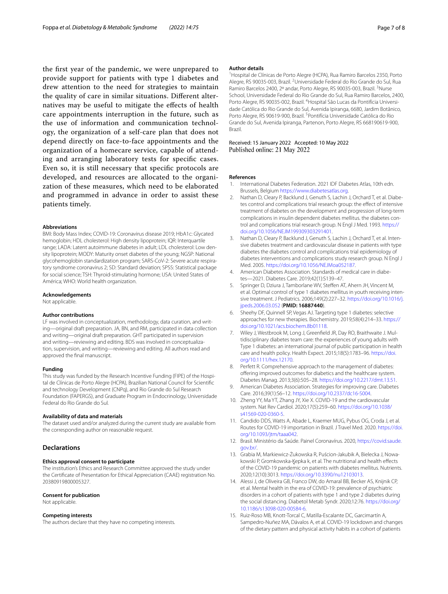the frst year of the pandemic, we were unprepared to provide support for patients with type 1 diabetes and drew attention to the need for strategies to maintain the quality of care in similar situations. Diferent alternatives may be useful to mitigate the efects of health care appointments interruption in the future, such as the use of information and communication technology, the organization of a self-care plan that does not depend directly on face-to-face appointments and the organization of a homecare service, capable of attending and arranging laboratory tests for specifc cases. Even so, it is still necessary that specifc protocols are developed, and resources are allocated to the organization of these measures, which need to be elaborated and programmed in advance in order to assist these patients timely.

#### **Abbreviations**

BMI: Body Mass Index; COVID-19: Coronavirus disease 2019; HbA1c: Glycated hemoglobin; HDL cholesterol: High density lipoprotein; IQR: Interquartile range; LADA: Latent autoimmune diabetes in adult; LDL cholesterol: Low density lipoprotein; MODY: Maturity onset diabetes of the young; NGSP: National glycohemoglobin standardization program; SARS-CoV-2: Severe acute respiratory syndrome coronavirus 2; SD: Standard deviation; SPSS: Statistical package for social science; TSH: Thyroid-stimulating hormone; USA: United States of América; WHO: World health organization.

#### **Acknowledgements**

Not applicable.

# **Author contributions**

LF was involved in conceptualization, methodology, data curation, and writing—original draft preparation. JA, BN, and RM, participated in data collection and writing—original draft preparation. GHT participated in supervision and writing—reviewing and editing. BDS was involved in conceptualization, supervision, and writing—reviewing and editing. All authors read and approved the fnal manuscript.

#### **Funding**

This study was funded by the Research Incentive Funding (FIPE) of the Hospital de Clínicas de Porto Alegre (HCPA), Brazilian National Council for Scientifc and technology Development (CNPq), and Rio Grande do Sul Research Foundation (FAPERGS), and Graduate Program in Endocrinology, Universidade Federal do Rio Grande do Sul.

#### **Availability of data and materials**

The dataset used and/or analyzed during the current study are available from the corresponding author on reasonable request.

# **Declarations**

#### **Ethics approval consent to participate**

The institution's Ethics and Research Committee approved the study under the Certifcate of Presentation for Ethical Appreciation (CAAE) registration No. 20380919800005327.

## **Consent for publication**

Not applicable.

# **Competing interests**

The authors declare that they have no competing interests.

#### **Author details**

<sup>1</sup> Hospital de Clínicas de Porto Alegre (HCPA), Rua Ramiro Barcelos 2350, Porto Alegre, RS 90035-003, Brazil. <sup>2</sup>Universidade Federal do Rio Grande do Sul, Rua Ramiro Barcelos 2400, 2º andar, Porto Alegre, RS 90035-003, Brazil. <sup>3</sup>Nurse School, Universidade Federal do Rio Grande do Sul, Rua Ramiro Barcelos, 2400, Porto Alegre, RS 90035-002, Brazil. <sup>4</sup> Hospital São Lucas da Pontifícia Universidade Católica do Rio Grande do Sul, Avenida Ipiranga, 6680, Jardim Botânico, Porto Alegre, RS 90619-900, Brazil.<sup>5</sup> Pontifícia Universidade Católica do Rio Grande do Sul, Avenida Ipiranga, Partenon, Porto Alegre, RS 668190619-900, Brazil.

## Received: 15 January 2022 Accepted: 10 May 2022 Published online: 21 May 2022

#### **References**

- <span id="page-6-0"></span>1. International Diabetes Federation. 2021 IDF Diabetes Atlas, 10th edn. Brussels, Belgium [https://www.diabetesatlas.org.](https://www.diabetesatlas.org)
- <span id="page-6-1"></span>2. Nathan D, Cleary P, Backlund J, Genuth S, Lachin J, Orchard T, et al. Diabetes control and complications trial research group: the efect of intensive treatment of diabetes on the development and progression of long-term complications in insulin dependent diabetes mellitus. the diabetes control and complications trial research group. N Engl J Med. 1993. [https://](https://doi.org/10.1056/NEJM199309303291401) [doi.org/10.1056/NEJM199309303291401](https://doi.org/10.1056/NEJM199309303291401).
- <span id="page-6-2"></span>3. Nathan D, Cleary P, Backlund J, Genuth S, Lachin J, Orchard T, et al. Intensive diabetes treatment and cardiovascular disease in patients with type diabetes the diabetes control and complications trial epidemiology of diabetes interventions and complications study research group. N Engl J Med. 2005. [https://doi.org/10.1056/NEJMoa052187.](https://doi.org/10.1056/NEJMoa052187)
- <span id="page-6-3"></span>4. American Diabetes Association. Standards of medical care in diabetes—2021. Diabetes Care. 2019;42(1):S139–47.
- <span id="page-6-4"></span>5. Springer D, Dziura J, Tamborlane WV, Stefen AT, Ahern JH, Vincent M, et al. Optimal control of type 1 diabetes mellitus in youth receiving intensive treatment. J Pediatrics. 2006;149(2):227–32. [https://doi.org/10.1016/j.](https://doi.org/10.1016/j.jpeds.2006.03.052) [jpeds.2006.03.052](https://doi.org/10.1016/j.jpeds.2006.03.052) (**PMID: 16887440**).
- <span id="page-6-5"></span>6. Sheehy DF, Quinnell SP, Vegas AJ. Targeting type 1 diabetes: selective approaches for new therapies. Biochemistry. 2019;58(4):214–33. [https://](https://doi.org/10.1021/acs.biochem.8b01118) [doi.org/10.1021/acs.biochem.8b01118](https://doi.org/10.1021/acs.biochem.8b01118).
- <span id="page-6-6"></span>Wiley J, Westbrook M, Long J, Greenfield JR, Day RO, Braithwaite J. Multidisciplinary diabetes team care: the experiences of young adults with Type 1 diabetes: an international journal of public participation in health care and health policy. Health Expect. 2015;18(5):1783–96. [https://doi.](https://doi.org/10.1111/hex.12170) [org/10.1111/hex.12170.](https://doi.org/10.1111/hex.12170)
- <span id="page-6-7"></span>8. Perfett R. Comprehensive approach to the management of diabetes: ofering improved outcomes for diabetics and the healthcare system. Diabetes Manag. 2013;3(6):505–28. [https://doi.org/10.2217/dmt.13.51.](https://doi.org/10.2217/dmt.13.51)
- <span id="page-6-8"></span>9. American Diabetes Association. Strategies for improving care. Diabetes Care. 2016;39(1):S6–12. [https://doi.org/10.2337/dc16-S004.](https://doi.org/10.2337/dc16-S004)
- <span id="page-6-9"></span>10. Zheng YY, Ma YT, Zhang JY, Xie X. COVID-19 and the cardiovascular system. Nat Rev Cardiol. 2020;17(5):259–60. [https://doi.org/10.1038/](https://doi.org/10.1038/s41569-020-0360-5) [s41569-020-0360-5.](https://doi.org/10.1038/s41569-020-0360-5)
- <span id="page-6-10"></span>11. Candido DDS, Watts A, Abade L, Kraemer MUG, Pybus OG, Croda J, et al. Routes for COVID-19 importation in Brazil. J Travel Med. 2020. [https://doi.](https://doi.org/10.1093/jtm/taaa042) [org/10.1093/jtm/taaa042.](https://doi.org/10.1093/jtm/taaa042)
- <span id="page-6-11"></span>12. Brasil. Ministério da Saúde. Painel Coronavírus. 2020, [https://covid.saude.](https://covid.saude.gov.br/) [gov.br/](https://covid.saude.gov.br/).
- <span id="page-6-12"></span>13. Grabia M, Markiewicz-Żukowska R, Puścion-Jakubik A, Bielecka J, Nowakowski P, Gromkowska-Kepka k, et al. The nutritional and health effects of the COVID-19 pandemic on patients with diabetes mellitus. Nutrients. 2020;12(10):3013.<https://doi.org/10.3390/nu12103013>.
- <span id="page-6-13"></span>14. Alessi J, de Oliveira GB, Franco DW, do Amaral BB, Becker AS, Knijnik CP, et al. Mental health in the era of COVID-19: prevalence of psychiatric disorders in a cohort of patients with type 1 and type 2 diabetes during the social distancing. Diabetol Metab Syndr. 2020;12:76. [https://doi.org/](https://doi.org/10.1186/s13098-020-00584-6) [10.1186/s13098-020-00584-6](https://doi.org/10.1186/s13098-020-00584-6).
- <span id="page-6-14"></span>15. Ruiz-Roso MB, Knott-Torcal C, Matilla-Escalante DC, Garcimartín A, Sampedro-Nuñez MA, Dávalos A, et al. COVID-19 lockdown and changes of the dietary pattern and physical activity habits in a cohort of patients